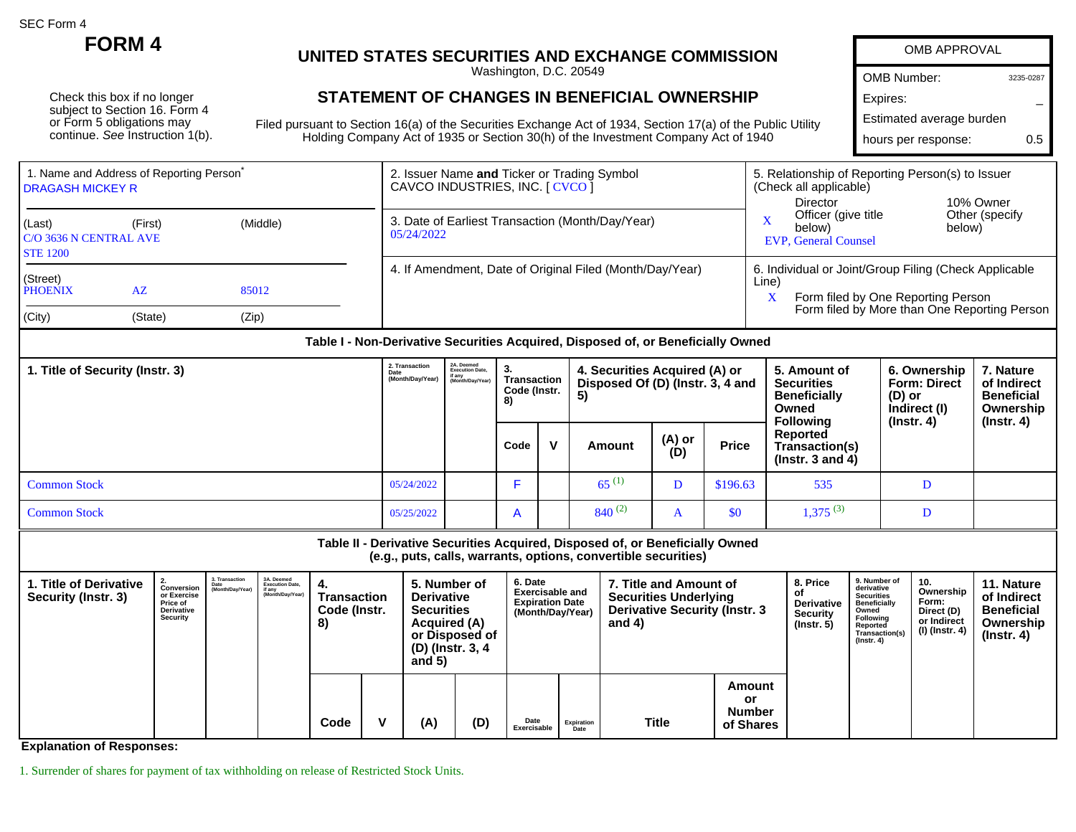SEC Form 4

Check this box if no longer subject to Section 16. Form 4 or Form 5 obligations may continue. See Instruction 1(b).

## **FORM 4 UNITED STATES SECURITIES AND EXCHANGE COMMISSION**

Washington, D.C. 20549

## **STATEMENT OF CHANGES IN BENEFICIAL OWNERSHIP**

Filed pursuant to Section 16(a) of the Securities Exchange Act of 1934, Section 17(a) of the Public Ut Holding Company Act of 1935 or Section 30(h) of the Investment Company Act of 1940

|        | <b>OMB APPROVAL</b>      |           |  |  |  |  |  |  |  |  |
|--------|--------------------------|-----------|--|--|--|--|--|--|--|--|
|        | OMB Number:              | 3235-0287 |  |  |  |  |  |  |  |  |
|        | Expires:                 |           |  |  |  |  |  |  |  |  |
| tility | Estimated average burden |           |  |  |  |  |  |  |  |  |
|        | hours per response:      | 0.5       |  |  |  |  |  |  |  |  |
|        |                          |           |  |  |  |  |  |  |  |  |

**11. Nature**

| 1. Name and Address of Reporting Person<br><b>I DRAGASH MICKEY R</b>           | 2. Issuer Name and Ticker or Trading Symbol<br>CAVCO INDUSTRIES, INC. [ CVCO ] | 5. Relationship of Reporting Person(s) to Issuer<br>(Check all applicable)                                                                                |  |  |  |  |
|--------------------------------------------------------------------------------|--------------------------------------------------------------------------------|-----------------------------------------------------------------------------------------------------------------------------------------------------------|--|--|--|--|
| $ $ (Last)<br>(Middle)<br>(First)<br>C/O 3636 N CENTRAL AVE<br><b>STE 1200</b> | 3. Date of Earliest Transaction (Month/Day/Year)<br>05/24/2022                 | 10% Owner<br>Director<br>Other (specify)<br>Officer (give title<br>below)<br>below)<br><b>EVP, General Counsel</b>                                        |  |  |  |  |
| (Street)<br>PHOENIX<br>AZ<br>85012                                             | 4. If Amendment, Date of Original Filed (Month/Day/Year)                       | 6. Individual or Joint/Group Filing (Check Applicable<br>Line)<br>Form filed by One Reporting Person<br>A<br>Form filed by More than One Reporting Person |  |  |  |  |
| $ $ (City)<br>(Zip)<br>(State)                                                 |                                                                                |                                                                                                                                                           |  |  |  |  |

## **Table I - Non-Derivative Securities Acquired, Disposed of, or Beneficially Owned**

| 1. Title of Security (Instr. 3) | 2. Transaction<br>Date<br>(Month/Day/Year) | 2A. Deemed<br>Execution Date,<br>if any<br>(Month/Dav/Year | З.<br>Transaction<br>Code (Instr.<br>8) |              | 4. Securities Acquired (A) or<br>Disposed Of (D) (Instr. 3, 4 and<br>5) |               |              | 5. Amount of<br><b>Securities</b><br><b>Beneficially</b><br>Owned<br><b>Following</b> | 6. Ownership<br><b>Form: Direct</b><br>(D) or<br>Indirect (I)<br>$($ lnstr. 4 $)$ | . Nature<br>of Indirect<br><b>Beneficial</b><br>Ownership<br>(Instr. 4) |
|---------------------------------|--------------------------------------------|------------------------------------------------------------|-----------------------------------------|--------------|-------------------------------------------------------------------------|---------------|--------------|---------------------------------------------------------------------------------------|-----------------------------------------------------------------------------------|-------------------------------------------------------------------------|
|                                 |                                            |                                                            | Code                                    | $\mathbf{v}$ | Amount                                                                  | (A) or<br>(D) | <b>Price</b> | Reported<br>Transaction(s)<br>( $Instr. 3 and 4$ )                                    |                                                                                   |                                                                         |
| <b>Common Stock</b>             | 05/24/2022                                 |                                                            |                                         |              | $65^{(1)}$                                                              | D             | \$196.63     | 535                                                                                   |                                                                                   |                                                                         |
| <b>Common Stock</b>             | 05/25/2022                                 |                                                            | $\mathsf{A}$                            |              | $840^{(2)}$                                                             | $\mathbf{A}$  | \$0          | 1,375(3)                                                                              |                                                                                   |                                                                         |

**Table II - Derivative Securities Acquired, Disposed of, or Beneficially Owned (e.g., puts, calls, warrants, options, convertible securities) 1. Title of Derivative 2. Conversion or Exercise Price of 3. Transaction Date (Month/Day/Year) 3A. Deemed Execution Date, if any (Month/Day/Year) 4. Transaction 5. Number of Derivative 6. Date Exercisable and Expiration Date 7. Title and Amount of Securities Underlying 8. Price of Derivative 9. Number of derivative Securities Beneficially 10. Ownership**

| Security (Instr. 3) | <br>or Exercise<br><b>Price of</b><br>Derivative<br>Security | $\blacksquare$ | (Month/Day/Year) | <b>Transaction</b><br>Code (Instr.<br>8) |  | <b>Derivative</b><br><b>Securities</b><br><b>Acquired (A)</b><br>or Disposed of<br>(D) (Instr. 3, 4<br>and $5)$ |     | <b>Exercisable and</b><br><b>Expiration Date</b><br>(Month/Day/Year) |                    | <b>Securities Underlying</b><br><b>Derivative Security (Instr. 3</b><br>and 4) |                                                   | оf<br>Derivative<br><b>Security</b><br>$($ lnstr. 5 $)$ | Securities<br>Beneficially<br>Owned<br>Following<br>Reported<br>Transaction(s)<br>$($ Instr. 4 $)$ | Ownership<br>Form:<br>Direct (D)<br>or Indirect<br>(I) (Instr. 4) | of Indirect<br><b>Beneficial</b><br>Ownership<br>$($ lnstr. 4 $)$ |
|---------------------|--------------------------------------------------------------|----------------|------------------|------------------------------------------|--|-----------------------------------------------------------------------------------------------------------------|-----|----------------------------------------------------------------------|--------------------|--------------------------------------------------------------------------------|---------------------------------------------------|---------------------------------------------------------|----------------------------------------------------------------------------------------------------|-------------------------------------------------------------------|-------------------------------------------------------------------|
|                     |                                                              |                |                  | Code                                     |  | (A)                                                                                                             | (D) | Date<br>Exercisable                                                  | Expiration<br>Date | <b>Title</b>                                                                   | Amount<br><b>or</b><br><b>Number</b><br>of Shares |                                                         |                                                                                                    |                                                                   |                                                                   |

**Explanation of Responses:**

1. Surrender of shares for payment of tax withholding on release of Restricted Stock Units.